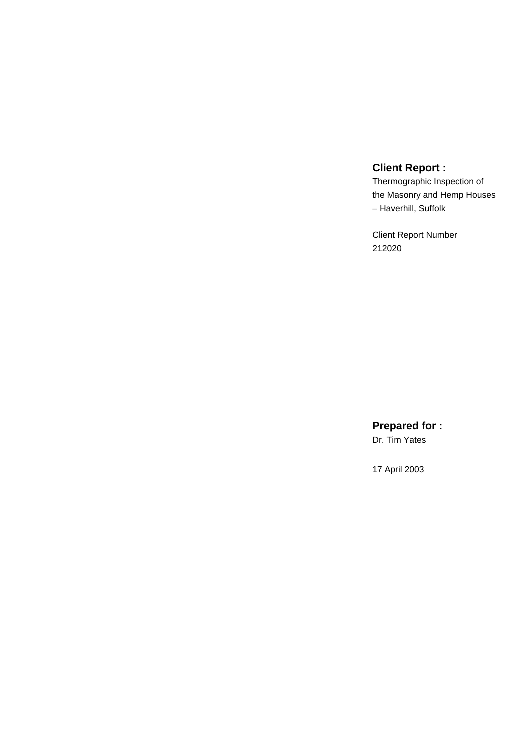# **Client Report :**

Thermographic Inspection of the Masonry and Hemp Houses – Haverhill, Suffolk

Client Report Number 212020

**Prepared for :**

Dr. Tim Yates

17 April 2003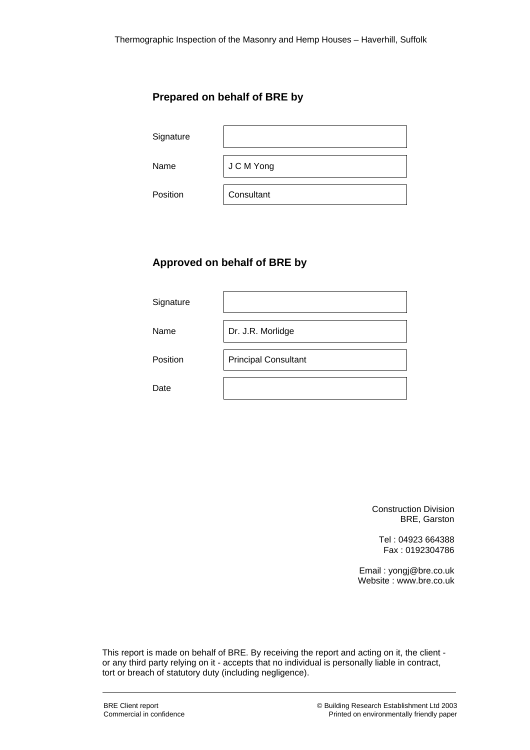## **Prepared on behalf of BRE by**

| Signature |            |
|-----------|------------|
| Name      | J C M Yong |
| Position  | Consultant |

## **Approved on behalf of BRE by**

| Signature |                             |
|-----------|-----------------------------|
| Name      | Dr. J.R. Morlidge           |
| Position  | <b>Principal Consultant</b> |
| Date      |                             |

Construction Division BRE, Garston

Tel : 04923 664388 Fax : 0192304786

Email : yongj@bre.co.uk Website : www.bre.co.uk

This report is made on behalf of BRE. By receiving the report and acting on it, the client or any third party relying on it - accepts that no individual is personally liable in contract, tort or breach of statutory duty (including negligence).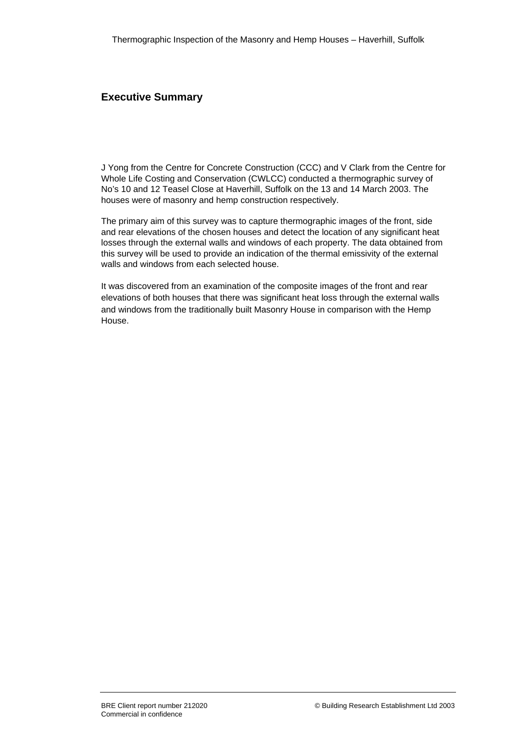#### **Executive Summary**

J Yong from the Centre for Concrete Construction (CCC) and V Clark from the Centre for Whole Life Costing and Conservation (CWLCC) conducted a thermographic survey of No's 10 and 12 Teasel Close at Haverhill, Suffolk on the 13 and 14 March 2003. The houses were of masonry and hemp construction respectively.

The primary aim of this survey was to capture thermographic images of the front, side and rear elevations of the chosen houses and detect the location of any significant heat losses through the external walls and windows of each property. The data obtained from this survey will be used to provide an indication of the thermal emissivity of the external walls and windows from each selected house.

It was discovered from an examination of the composite images of the front and rear elevations of both houses that there was significant heat loss through the external walls and windows from the traditionally built Masonry House in comparison with the Hemp House.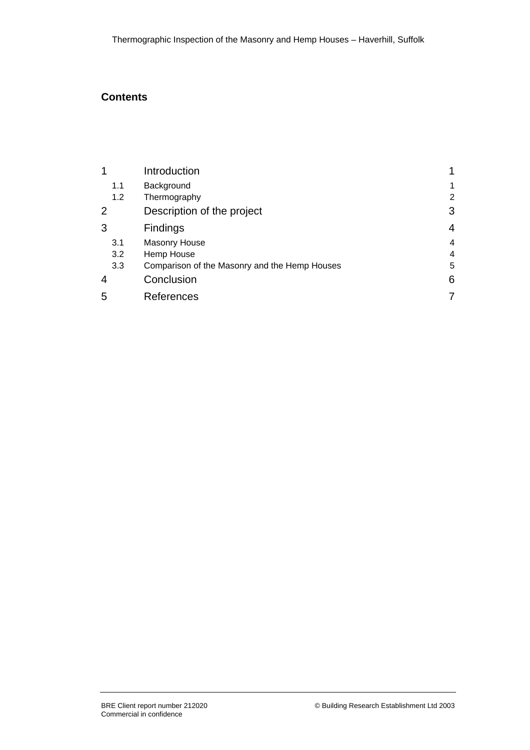## **Contents**

| 1              | Introduction                                  |                |
|----------------|-----------------------------------------------|----------------|
| 1.1            | Background                                    | 1              |
| 1.2            | Thermography                                  | $\overline{2}$ |
| 2              | Description of the project                    | 3              |
| 3              | <b>Findings</b>                               | 4              |
| 3.1            | <b>Masonry House</b>                          | 4              |
| 3.2            | Hemp House                                    | 4              |
| 3.3            | Comparison of the Masonry and the Hemp Houses | 5              |
| $\overline{4}$ | Conclusion                                    |                |
| 5              | References                                    |                |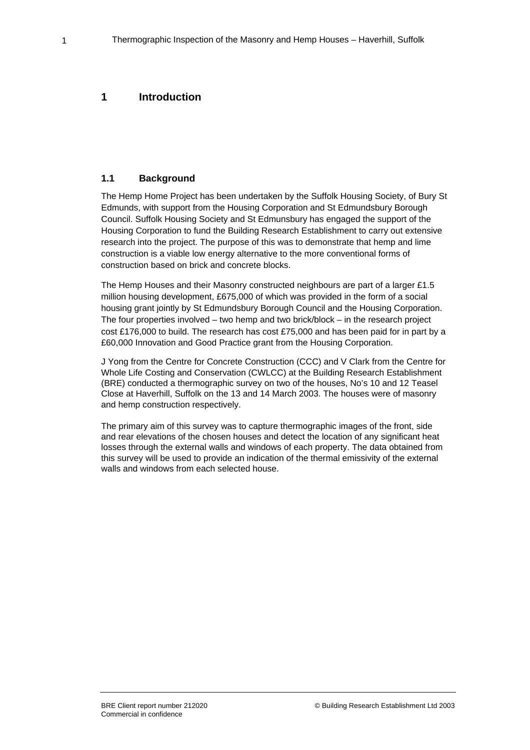### **1 Introduction**

#### **1.1 Background**

The Hemp Home Project has been undertaken by the Suffolk Housing Society, of Bury St Edmunds, with support from the Housing Corporation and St Edmundsbury Borough Council. Suffolk Housing Society and St Edmunsbury has engaged the support of the Housing Corporation to fund the Building Research Establishment to carry out extensive research into the project. The purpose of this was to demonstrate that hemp and lime construction is a viable low energy alternative to the more conventional forms of construction based on brick and concrete blocks.

The Hemp Houses and their Masonry constructed neighbours are part of a larger £1.5 million housing development, £675,000 of which was provided in the form of a social housing grant jointly by St Edmundsbury Borough Council and the Housing Corporation. The four properties involved – two hemp and two brick/block – in the research project cost £176,000 to build. The research has cost £75,000 and has been paid for in part by a £60,000 Innovation and Good Practice grant from the Housing Corporation.

J Yong from the Centre for Concrete Construction (CCC) and V Clark from the Centre for Whole Life Costing and Conservation (CWLCC) at the Building Research Establishment (BRE) conducted a thermographic survey on two of the houses, No's 10 and 12 Teasel Close at Haverhill, Suffolk on the 13 and 14 March 2003. The houses were of masonry and hemp construction respectively.

The primary aim of this survey was to capture thermographic images of the front, side and rear elevations of the chosen houses and detect the location of any significant heat losses through the external walls and windows of each property. The data obtained from this survey will be used to provide an indication of the thermal emissivity of the external walls and windows from each selected house.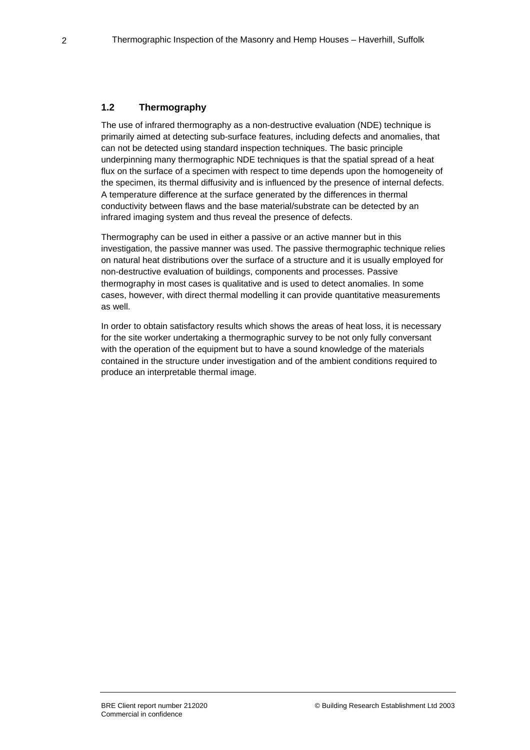#### **1.2 Thermography**

The use of infrared thermography as a non-destructive evaluation (NDE) technique is primarily aimed at detecting sub-surface features, including defects and anomalies, that can not be detected using standard inspection techniques. The basic principle underpinning many thermographic NDE techniques is that the spatial spread of a heat flux on the surface of a specimen with respect to time depends upon the homogeneity of the specimen, its thermal diffusivity and is influenced by the presence of internal defects. A temperature difference at the surface generated by the differences in thermal conductivity between flaws and the base material/substrate can be detected by an infrared imaging system and thus reveal the presence of defects.

Thermography can be used in either a passive or an active manner but in this investigation, the passive manner was used. The passive thermographic technique relies on natural heat distributions over the surface of a structure and it is usually employed for non-destructive evaluation of buildings, components and processes. Passive thermography in most cases is qualitative and is used to detect anomalies. In some cases, however, with direct thermal modelling it can provide quantitative measurements as well.

In order to obtain satisfactory results which shows the areas of heat loss, it is necessary for the site worker undertaking a thermographic survey to be not only fully conversant with the operation of the equipment but to have a sound knowledge of the materials contained in the structure under investigation and of the ambient conditions required to produce an interpretable thermal image.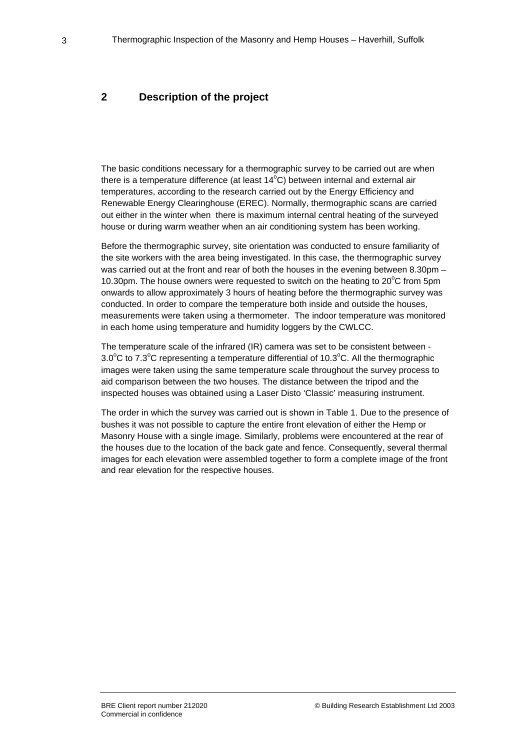#### **2 Description of the project**

The basic conditions necessary for a thermographic survey to be carried out are when there is a temperature difference (at least  $14^{\circ}$ C) between internal and external air temperatures, according to the research carried out by the Energy Efficiency and Renewable Energy Clearinghouse (EREC). Normally, thermographic scans are carried out either in the winter when there is maximum internal central heating of the surveyed house or during warm weather when an air conditioning system has been working.

Before the thermographic survey, site orientation was conducted to ensure familiarity of the site workers with the area being investigated. In this case, the thermographic survey was carried out at the front and rear of both the houses in the evening between 8.30pm – 10.30pm. The house owners were requested to switch on the heating to  $20^{\circ}$ C from 5pm onwards to allow approximately 3 hours of heating before the thermographic survey was conducted. In order to compare the temperature both inside and outside the houses, measurements were taken using a thermometer. The indoor temperature was monitored in each home using temperature and humidity loggers by the CWLCC.

The temperature scale of the infrared (IR) camera was set to be consistent between - 3.0 $\mathrm{^{\circ}C}$  to 7.3 $\mathrm{^{\circ}C}$  representing a temperature differential of 10.3 $\mathrm{^{\circ}C}$ . All the thermographic images were taken using the same temperature scale throughout the survey process to aid comparison between the two houses. The distance between the tripod and the inspected houses was obtained using a Laser Disto 'Classic' measuring instrument.

The order in which the survey was carried out is shown in Table 1. Due to the presence of bushes it was not possible to capture the entire front elevation of either the Hemp or Masonry House with a single image. Similarly, problems were encountered at the rear of the houses due to the location of the back gate and fence. Consequently, several thermal images for each elevation were assembled together to form a complete image of the front and rear elevation for the respective houses.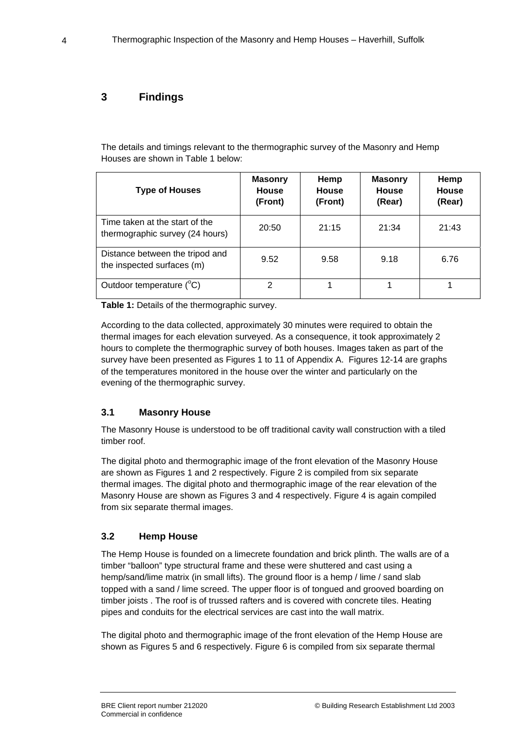### **3 Findings**

The details and timings relevant to the thermographic survey of the Masonry and Hemp Houses are shown in Table 1 below:

| <b>Type of Houses</b>                                             | <b>Masonry</b><br><b>House</b><br>(Front) | Hemp<br><b>House</b><br>(Front) | <b>Masonry</b><br>House<br>(Rear) | Hemp<br><b>House</b><br>(Rear) |
|-------------------------------------------------------------------|-------------------------------------------|---------------------------------|-----------------------------------|--------------------------------|
| Time taken at the start of the<br>thermographic survey (24 hours) | 20:50                                     | 21:15                           | 21:34                             | 21:43                          |
| Distance between the tripod and<br>the inspected surfaces (m)     | 9.52                                      | 9.58                            | 9.18                              | 6.76                           |
| Outdoor temperature (°C)                                          | 2                                         |                                 |                                   |                                |

**Table 1:** Details of the thermographic survey.

According to the data collected, approximately 30 minutes were required to obtain the thermal images for each elevation surveyed. As a consequence, it took approximately 2 hours to complete the thermographic survey of both houses. Images taken as part of the survey have been presented as Figures 1 to 11 of Appendix A. Figures 12-14 are graphs of the temperatures monitored in the house over the winter and particularly on the evening of the thermographic survey.

#### **3.1 Masonry House**

The Masonry House is understood to be off traditional cavity wall construction with a tiled timber roof.

The digital photo and thermographic image of the front elevation of the Masonry House are shown as Figures 1 and 2 respectively. Figure 2 is compiled from six separate thermal images. The digital photo and thermographic image of the rear elevation of the Masonry House are shown as Figures 3 and 4 respectively. Figure 4 is again compiled from six separate thermal images.

### **3.2 Hemp House**

The Hemp House is founded on a limecrete foundation and brick plinth. The walls are of a timber "balloon" type structural frame and these were shuttered and cast using a hemp/sand/lime matrix (in small lifts). The ground floor is a hemp / lime / sand slab topped with a sand / lime screed. The upper floor is of tongued and grooved boarding on timber joists . The roof is of trussed rafters and is covered with concrete tiles. Heating pipes and conduits for the electrical services are cast into the wall matrix.

The digital photo and thermographic image of the front elevation of the Hemp House are shown as Figures 5 and 6 respectively. Figure 6 is compiled from six separate thermal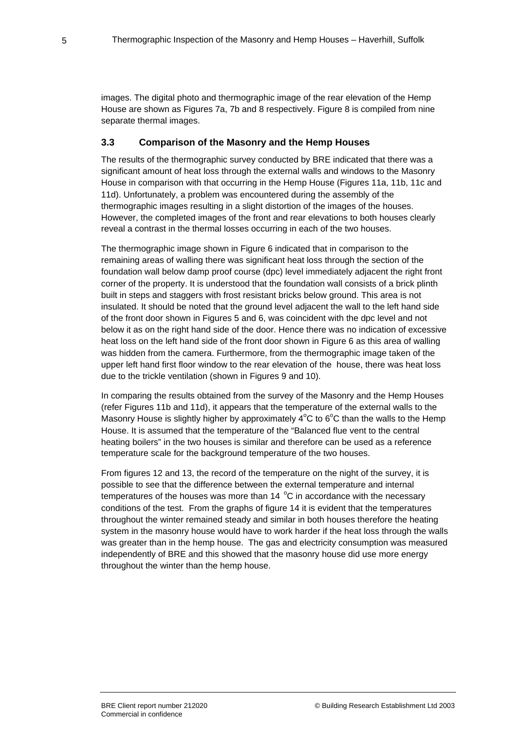images. The digital photo and thermographic image of the rear elevation of the Hemp House are shown as Figures 7a, 7b and 8 respectively. Figure 8 is compiled from nine separate thermal images.

#### **3.3 Comparison of the Masonry and the Hemp Houses**

The results of the thermographic survey conducted by BRE indicated that there was a significant amount of heat loss through the external walls and windows to the Masonry House in comparison with that occurring in the Hemp House (Figures 11a, 11b, 11c and 11d). Unfortunately, a problem was encountered during the assembly of the thermographic images resulting in a slight distortion of the images of the houses. However, the completed images of the front and rear elevations to both houses clearly reveal a contrast in the thermal losses occurring in each of the two houses.

The thermographic image shown in Figure 6 indicated that in comparison to the remaining areas of walling there was significant heat loss through the section of the foundation wall below damp proof course (dpc) level immediately adjacent the right front corner of the property. It is understood that the foundation wall consists of a brick plinth built in steps and staggers with frost resistant bricks below ground. This area is not insulated. It should be noted that the ground level adjacent the wall to the left hand side of the front door shown in Figures 5 and 6, was coincident with the dpc level and not below it as on the right hand side of the door. Hence there was no indication of excessive heat loss on the left hand side of the front door shown in Figure 6 as this area of walling was hidden from the camera. Furthermore, from the thermographic image taken of the upper left hand first floor window to the rear elevation of the house, there was heat loss due to the trickle ventilation (shown in Figures 9 and 10).

In comparing the results obtained from the survey of the Masonry and the Hemp Houses (refer Figures 11b and 11d), it appears that the temperature of the external walls to the Masonry House is slightly higher by approximately  $4^{\circ}$ C to 6 $^{\circ}$ C than the walls to the Hemp House. It is assumed that the temperature of the "Balanced flue vent to the central heating boilers" in the two houses is similar and therefore can be used as a reference temperature scale for the background temperature of the two houses.

From figures 12 and 13, the record of the temperature on the night of the survey, it is possible to see that the difference between the external temperature and internal temperatures of the houses was more than  $14 \text{ °C}$  in accordance with the necessary conditions of the test. From the graphs of figure 14 it is evident that the temperatures throughout the winter remained steady and similar in both houses therefore the heating system in the masonry house would have to work harder if the heat loss through the walls was greater than in the hemp house. The gas and electricity consumption was measured independently of BRE and this showed that the masonry house did use more energy throughout the winter than the hemp house.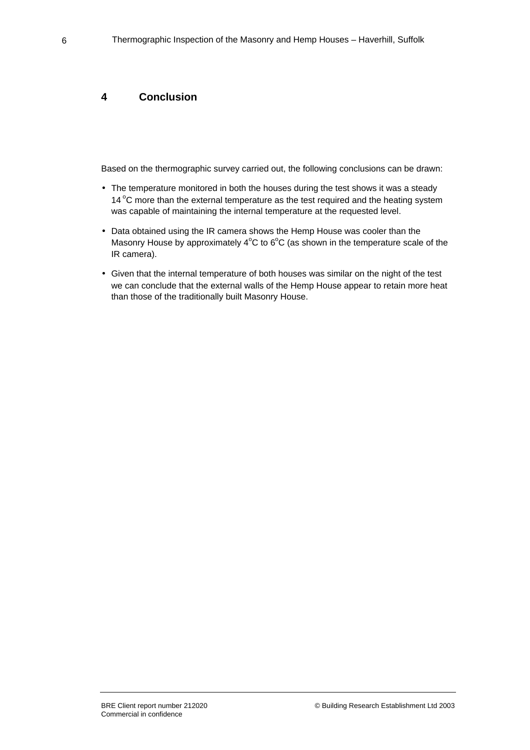#### **4 Conclusion**

Based on the thermographic survey carried out, the following conclusions can be drawn:

- The temperature monitored in both the houses during the test shows it was a steady 14 $\degree$ C more than the external temperature as the test required and the heating system was capable of maintaining the internal temperature at the requested level.
- Data obtained using the IR camera shows the Hemp House was cooler than the Masonry House by approximately  $4^{\circ}$ C to 6 $^{\circ}$ C (as shown in the temperature scale of the IR camera).
- Given that the internal temperature of both houses was similar on the night of the test we can conclude that the external walls of the Hemp House appear to retain more heat than those of the traditionally built Masonry House.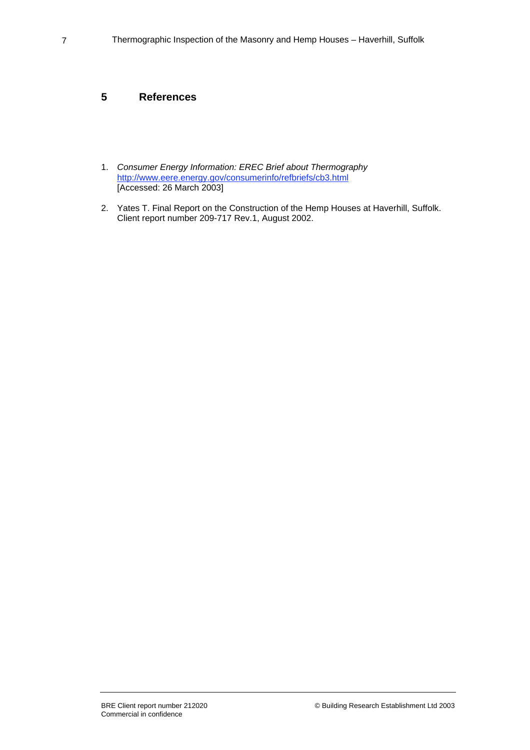### **5 References**

- 1. *Consumer Energy Information: EREC Brief about Thermography* http://www.eere.energy.gov/consumerinfo/refbriefs/cb3.html [Accessed: 26 March 2003]
- 2. Yates T. Final Report on the Construction of the Hemp Houses at Haverhill, Suffolk. Client report number 209-717 Rev.1, August 2002.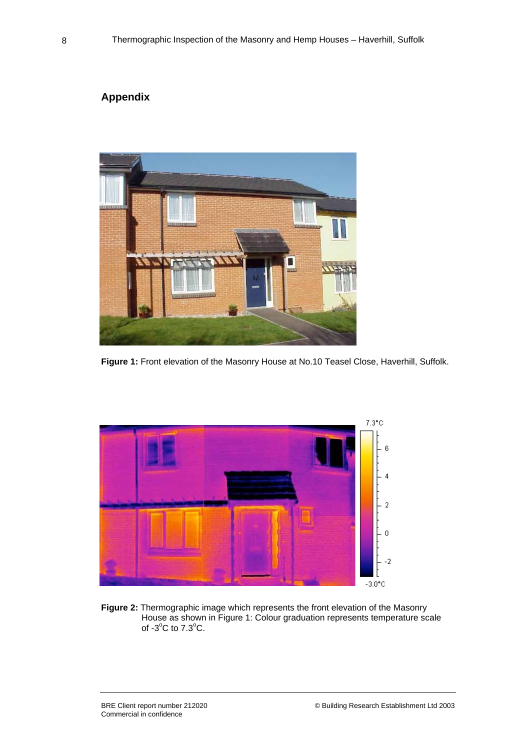# **Appendix**



**Figure 1:** Front elevation of the Masonry House at No.10 Teasel Close, Haverhill, Suffolk.



**Figure 2:** Thermographic image which represents the front elevation of the Masonry House as shown in Figure 1: Colour graduation represents temperature scale of  $-3^{\circ}$ C to  $7.3^{\circ}$ C.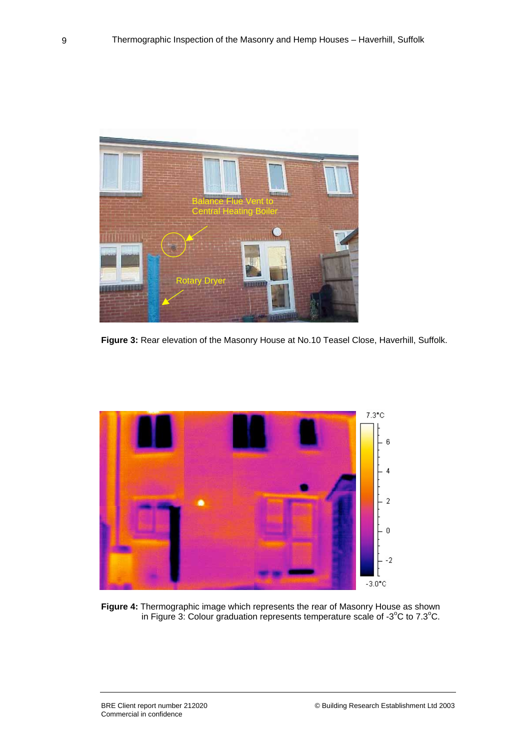

**Figure 3:** Rear elevation of the Masonry House at No.10 Teasel Close, Haverhill, Suffolk.



**Figure 4:** Thermographic image which represents the rear of Masonry House as shown in Figure 3: Colour graduation represents temperature scale of -3 $^{\circ}$ C to 7.3 $^{\circ}$ C.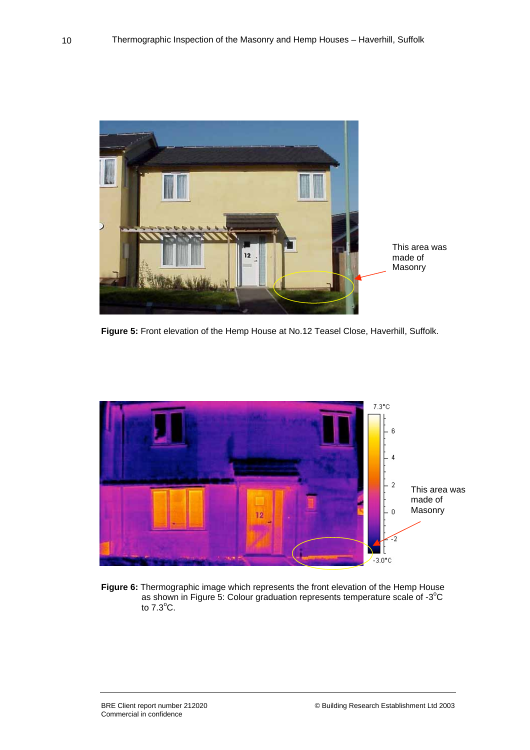

**Figure 5:** Front elevation of the Hemp House at No.12 Teasel Close, Haverhill, Suffolk.



**Figure 6:** Thermographic image which represents the front elevation of the Hemp House as shown in Figure 5: Colour graduation represents temperature scale of -3°C to  $7.3^{\circ}$ C.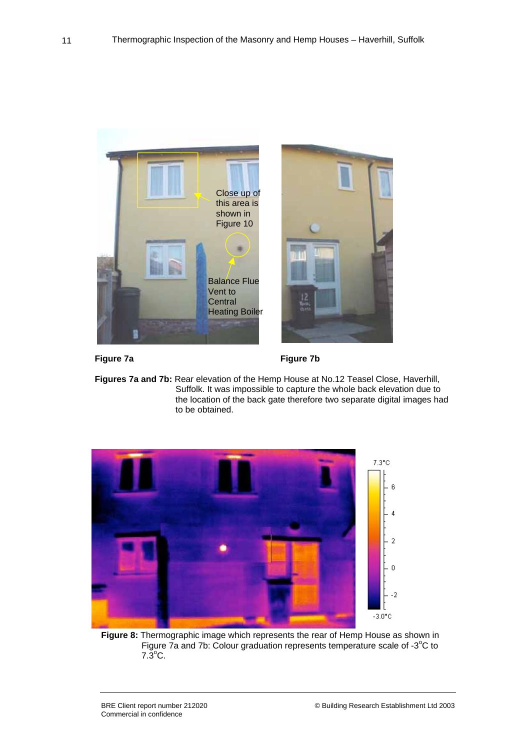



Figure 7a **Figure 7b** 

**Figures 7a and 7b:** Rear elevation of the Hemp House at No.12 Teasel Close, Haverhill, Suffolk. It was impossible to capture the whole back elevation due to the location of the back gate therefore two separate digital images had to be obtained.



**Figure 8:** Thermographic image which represents the rear of Hemp House as shown in Figure  $\bar{7}a$  and 7b: Colour graduation represents temperature scale of -3 $^{\circ}$ C to  $7.\overline{3}^{\circ}$ C.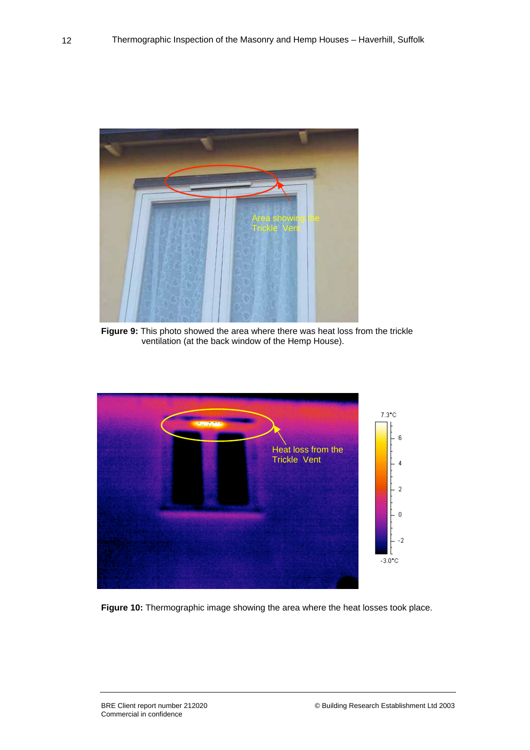

**Figure 9:** This photo showed the area where there was heat loss from the trickle ventilation (at the back window of the Hemp House).



**Figure 10:** Thermographic image showing the area where the heat losses took place.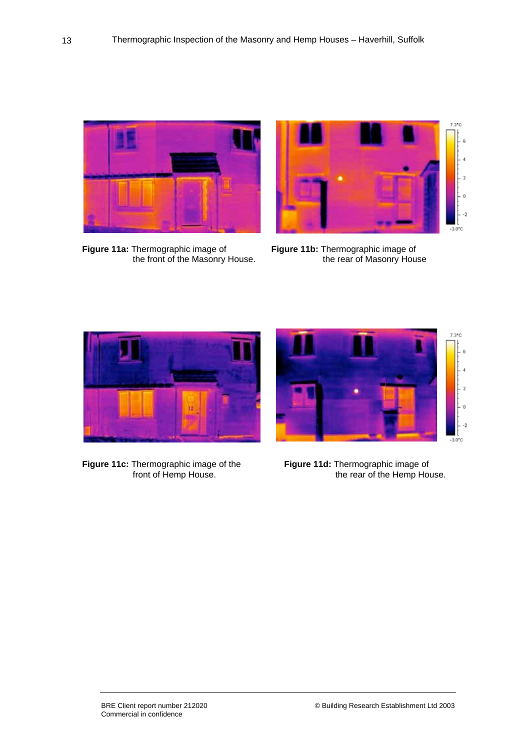

**Figure 11a:** Thermographic image of **Figure 11b:** Thermographic image of



the front of the Masonry House. The rear of Masonry House



**Figure 11c:** Thermographic image of the front of Hemp House.



Figure 11d: Thermographic image of<br>the rear of the Hemp House.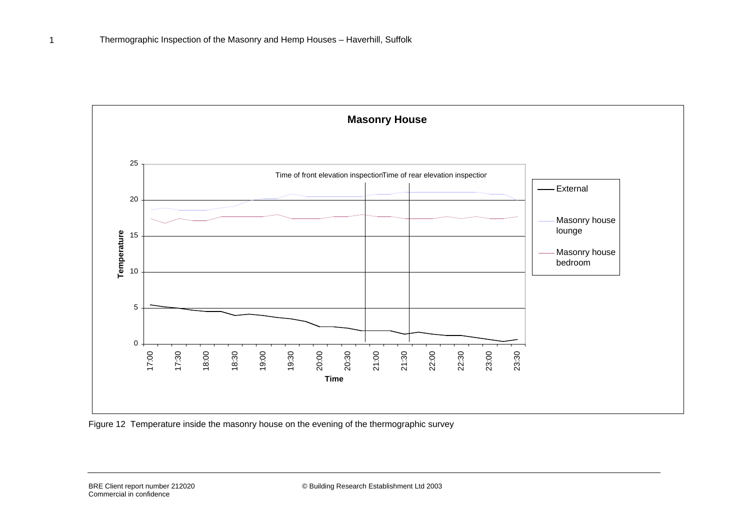

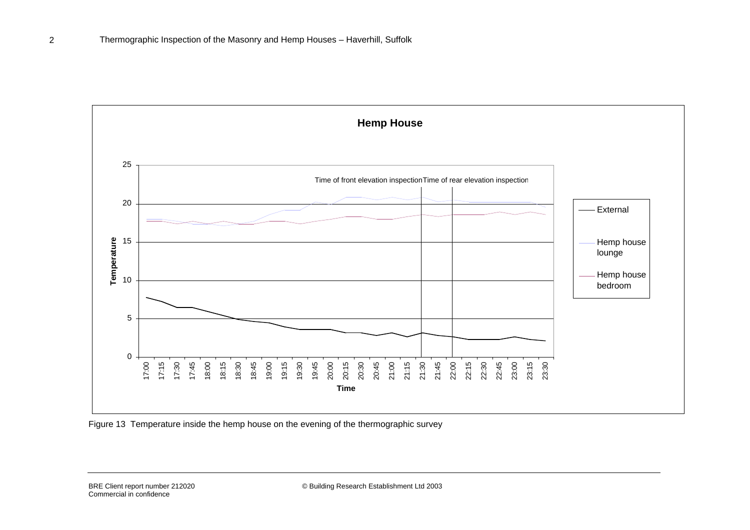

Figure 13 Temperature inside the hemp house on the evening of the thermographic survey